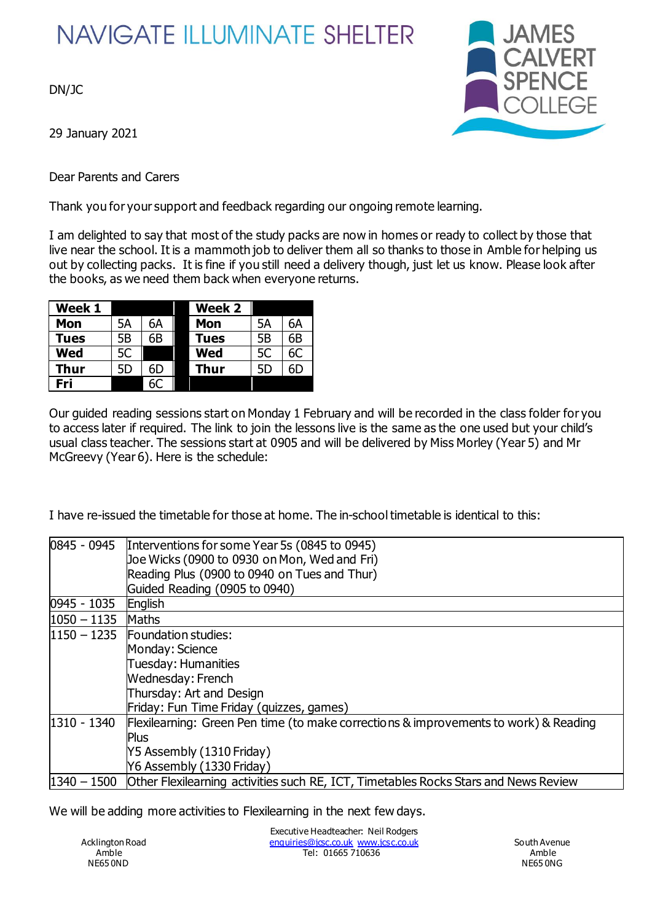## **NAVIGATE ILLUMINATE SHELTER**

DN/JC

29 January 2021

Dear Parents and Carers



Thank you for your support and feedback regarding our ongoing remote learning.

I am delighted to say that most of the study packs are now in homes or ready to collect by those that live near the school. It is a mammoth job to deliver them all so thanks to those in Amble for helping us out by collecting packs. It is fine if you still need a delivery though, just let us know. Please look after the books, as we need them back when everyone returns.

| Week 1     |    |    | Week 2      |    |    |
|------------|----|----|-------------|----|----|
| <b>Mon</b> | 5А | 6A | Mon         | 5А | 6A |
| Tues       | 5Β | 6B | <b>Tues</b> | 5B | 6B |
| Wed        | 5C |    | Wed         | 5C | 6C |
| Thur       | 5D | 6D | Thur        | 5D | 6D |
| Fri        |    | 6С |             |    |    |

Our guided reading sessions start on Monday 1 February and will be recorded in the class folder for you to access later if required. The link to join the lessons live is the same as the one used but your child's usual class teacher. The sessions start at 0905 and will be delivered by Miss Morley (Year 5) and Mr McGreevy (Year 6). Here is the schedule:

I have re-issued the timetable for those at home. The in-school timetable is identical to this:

| 0845 - 0945     | Interventions for some Year 5s (0845 to 0945)                                        |
|-----------------|--------------------------------------------------------------------------------------|
|                 | Joe Wicks (0900 to 0930 on Mon, Wed and Fri)                                         |
|                 | Reading Plus (0900 to 0940 on Tues and Thur)                                         |
|                 | Guided Reading (0905 to 0940)                                                        |
| 0945 - 1035     | English                                                                              |
| $ 1050 - 1135 $ | Maths                                                                                |
|                 | $1150 - 1235$ Foundation studies:                                                    |
|                 | Monday: Science                                                                      |
|                 | Tuesday: Humanities                                                                  |
|                 | Wednesday: French                                                                    |
|                 | Thursday: Art and Design                                                             |
|                 | Friday: Fun Time Friday (quizzes, games)                                             |
| 1310 - 1340     | Flexilearning: Green Pen time (to make corrections & improvements to work) & Reading |
|                 | <b>Plus</b>                                                                          |
|                 | Y5 Assembly (1310 Friday)                                                            |
|                 | Y6 Assembly (1330 Friday)                                                            |
| 1340 - 1500     | Other Flexilearning activities such RE, ICT, Timetables Rocks Stars and News Review  |

We will be adding more activities to Flexilearning in the next few days.